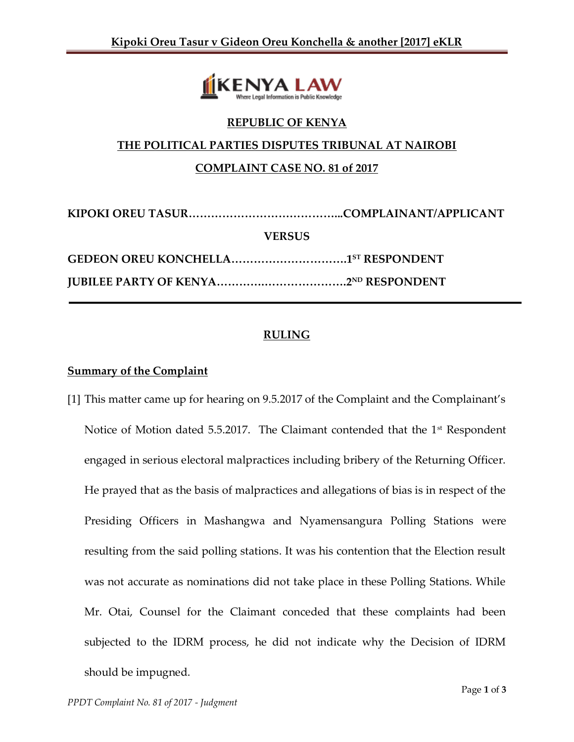

#### **REPUBLIC OF KENYA**

#### **THE POLITICAL PARTIES DISPUTES TRIBUNAL AT NAIROBI**

## **COMPLAINT CASE NO. 81 of 2017**

| <b>VERSUS</b> |  |
|---------------|--|
|               |  |
|               |  |

# **RULING**

#### **Summary of the Complaint**

[1] This matter came up for hearing on 9.5.2017 of the Complaint and the Complainant's Notice of Motion dated 5.5.2017. The Claimant contended that the 1<sup>st</sup> Respondent engaged in serious electoral malpractices including bribery of the Returning Officer. He prayed that as the basis of malpractices and allegations of bias is in respect of the Presiding Officers in Mashangwa and Nyamensangura Polling Stations were resulting from the said polling stations. It was his contention that the Election result was not accurate as nominations did not take place in these Polling Stations. While Mr. Otai, Counsel for the Claimant conceded that these complaints had been subjected to the IDRM process, he did not indicate why the Decision of IDRM should be impugned.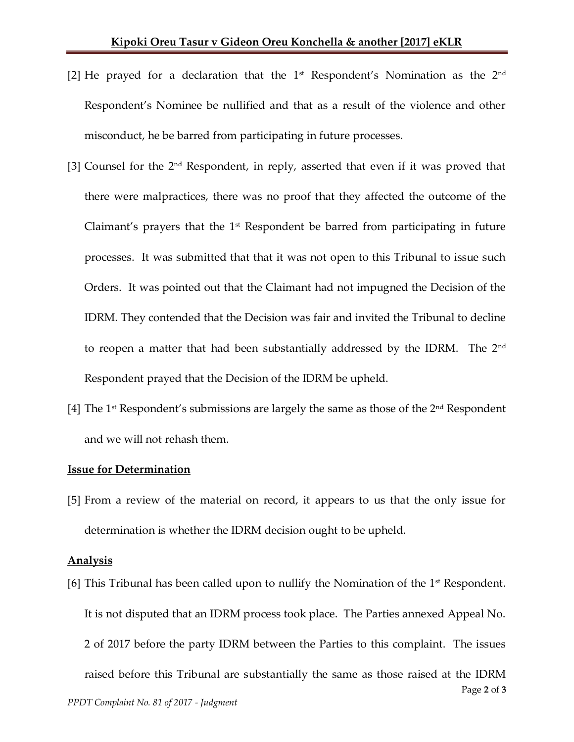- [2] He prayed for a declaration that the  $1<sup>st</sup>$  Respondent's Nomination as the  $2<sup>nd</sup>$ Respondent's Nominee be nullified and that as a result of the violence and other misconduct, he be barred from participating in future processes.
- [3] Counsel for the 2<sup>nd</sup> Respondent, in reply, asserted that even if it was proved that there were malpractices, there was no proof that they affected the outcome of the Claimant's prayers that the  $1<sup>st</sup>$  Respondent be barred from participating in future processes. It was submitted that that it was not open to this Tribunal to issue such Orders. It was pointed out that the Claimant had not impugned the Decision of the IDRM. They contended that the Decision was fair and invited the Tribunal to decline to reopen a matter that had been substantially addressed by the IDRM. The 2<sup>nd</sup> Respondent prayed that the Decision of the IDRM be upheld.
- [4] The 1<sup>st</sup> Respondent's submissions are largely the same as those of the  $2<sup>nd</sup>$  Respondent and we will not rehash them.

#### **Issue for Determination**

[5] From a review of the material on record, it appears to us that the only issue for determination is whether the IDRM decision ought to be upheld.

#### **Analysis**

Page **2** of **3** *PPDT Complaint No. 81 of 2017 - Judgment* [6] This Tribunal has been called upon to nullify the Nomination of the  $1<sup>st</sup>$  Respondent. It is not disputed that an IDRM process took place. The Parties annexed Appeal No. 2 of 2017 before the party IDRM between the Parties to this complaint. The issues raised before this Tribunal are substantially the same as those raised at the IDRM